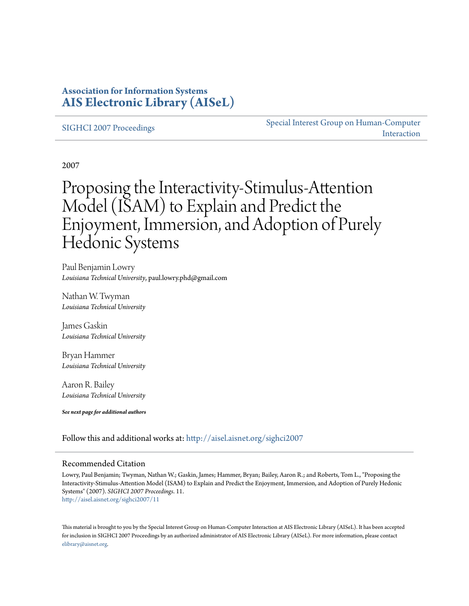## **Association for Information Systems [AIS Electronic Library \(AISeL\)](http://aisel.aisnet.org?utm_source=aisel.aisnet.org%2Fsighci2007%2F11&utm_medium=PDF&utm_campaign=PDFCoverPages)**

#### [SIGHCI 2007 Proceedings](http://aisel.aisnet.org/sighci2007?utm_source=aisel.aisnet.org%2Fsighci2007%2F11&utm_medium=PDF&utm_campaign=PDFCoverPages)

[Special Interest Group on Human-Computer](http://aisel.aisnet.org/sighci?utm_source=aisel.aisnet.org%2Fsighci2007%2F11&utm_medium=PDF&utm_campaign=PDFCoverPages) [Interaction](http://aisel.aisnet.org/sighci?utm_source=aisel.aisnet.org%2Fsighci2007%2F11&utm_medium=PDF&utm_campaign=PDFCoverPages)

2007

# Proposing the Interactivity-Stimulus-Attention Model (ISAM) to Explain and Predict the Enjoyment, Immersion, and Adoption of Purely Hedonic Systems

Paul Benjamin Lowry *Louisiana Technical University*, paul.lowry.phd@gmail.com

Nathan W. Twyman *Louisiana Technical University*

James Gaskin *Louisiana Technical University*

Bryan Hammer *Louisiana Technical University*

Aaron R. Bailey *Louisiana Technical University*

*See next page for additional authors*

Follow this and additional works at: [http://aisel.aisnet.org/sighci2007](http://aisel.aisnet.org/sighci2007?utm_source=aisel.aisnet.org%2Fsighci2007%2F11&utm_medium=PDF&utm_campaign=PDFCoverPages)

#### Recommended Citation

Lowry, Paul Benjamin; Twyman, Nathan W.; Gaskin, James; Hammer, Bryan; Bailey, Aaron R.; and Roberts, Tom L., "Proposing the Interactivity-Stimulus-Attention Model (ISAM) to Explain and Predict the Enjoyment, Immersion, and Adoption of Purely Hedonic Systems" (2007). *SIGHCI 2007 Proceedings*. 11. [http://aisel.aisnet.org/sighci2007/11](http://aisel.aisnet.org/sighci2007/11?utm_source=aisel.aisnet.org%2Fsighci2007%2F11&utm_medium=PDF&utm_campaign=PDFCoverPages)

This material is brought to you by the Special Interest Group on Human-Computer Interaction at AIS Electronic Library (AISeL). It has been accepted for inclusion in SIGHCI 2007 Proceedings by an authorized administrator of AIS Electronic Library (AISeL). For more information, please contact [elibrary@aisnet.org.](mailto:elibrary@aisnet.org%3E)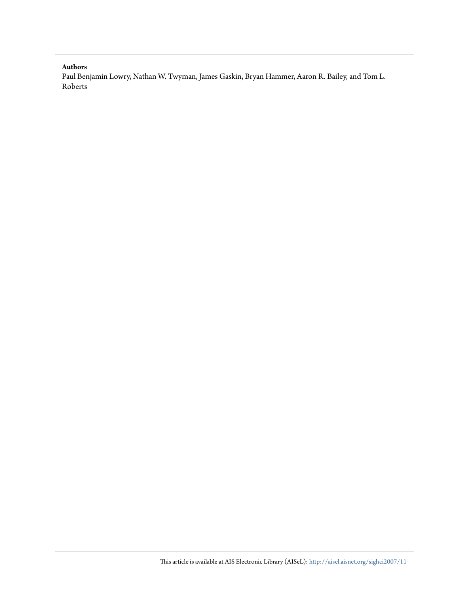#### **Authors**

Paul Benjamin Lowry, Nathan W. Twyman, James Gaskin, Bryan Hammer, Aaron R. Bailey, and Tom L. Roberts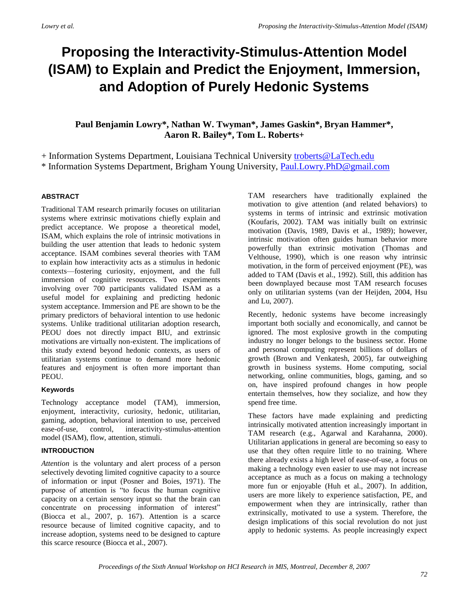## **Proposing the Interactivity-Stimulus-Attention Model (ISAM) to Explain and Predict the Enjoyment, Immersion, and Adoption of Purely Hedonic Systems**

**Paul Benjamin Lowry\*, Nathan W. Twyman\*, James Gaskin\*, Bryan Hammer\*, Aaron R. Bailey\*, Tom L. Roberts+**

+ Information Systems Department, Louisiana Technical University [troberts@LaTech.edu](mailto:troberts@LaTech.edu) \* Information Systems Department, Brigham Young University, [Paul.Lowry.PhD@gmail.com](mailto:Paul.Lowry.PhD@gmail.com)

#### **ABSTRACT**

Traditional TAM research primarily focuses on utilitarian systems where extrinsic motivations chiefly explain and predict acceptance. We propose a theoretical model, ISAM, which explains the role of intrinsic motivations in building the user attention that leads to hedonic system acceptance. ISAM combines several theories with TAM to explain how interactivity acts as a stimulus in hedonic contexts—fostering curiosity, enjoyment, and the full immersion of cognitive resources. Two experiments involving over 700 participants validated ISAM as a useful model for explaining and predicting hedonic system acceptance. Immersion and PE are shown to be the primary predictors of behavioral intention to use hedonic systems. Unlike traditional utilitarian adoption research, PEOU does not directly impact BIU, and extrinsic motivations are virtually non-existent. The implications of this study extend beyond hedonic contexts, as users of utilitarian systems continue to demand more hedonic features and enjoyment is often more important than PEOU.

#### **Keywords**

Technology acceptance model (TAM), immersion, enjoyment, interactivity, curiosity, hedonic, utilitarian, gaming, adoption, behavioral intention to use, perceived ease-of-use, control, interactivity-stimulus-attention model (ISAM), flow, attention, stimuli.

#### **INTRODUCTION**

*Attention* is the voluntary and alert process of a person selectively devoting limited cognitive capacity to a source of information or input (Posner and Boies, 1971). The purpose of attention is "to focus the human cognitive capacity on a certain sensory input so that the brain can concentrate on processing information of interest" (Biocca et al., 2007, p. 167). Attention is a scarce resource because of limited cognitive capacity, and to increase adoption, systems need to be designed to capture this scarce resource (Biocca et al., 2007).

TAM researchers have traditionally explained the motivation to give attention (and related behaviors) to systems in terms of intrinsic and extrinsic motivation (Koufaris, 2002). TAM was initially built on extrinsic motivation (Davis, 1989, Davis et al., 1989); however, intrinsic motivation often guides human behavior more powerfully than extrinsic motivation (Thomas and Velthouse, 1990), which is one reason why intrinsic motivation, in the form of perceived enjoyment (PE), was added to TAM (Davis et al., 1992). Still, this addition has been downplayed because most TAM research focuses only on utilitarian systems (van der Heijden, 2004, Hsu and Lu, 2007).

Recently, hedonic systems have become increasingly important both socially and economically, and cannot be ignored. The most explosive growth in the computing industry no longer belongs to the business sector. Home and personal computing represent billions of dollars of growth (Brown and Venkatesh, 2005), far outweighing growth in business systems. Home computing, social networking, online communities, blogs, gaming, and so on, have inspired profound changes in how people entertain themselves, how they socialize, and how they spend free time.

These factors have made explaining and predicting intrinsically motivated attention increasingly important in TAM research (e.g., Agarwal and Karahanna, 2000). Utilitarian applications in general are becoming so easy to use that they often require little to no training. Where there already exists a high level of ease-of-use, a focus on making a technology even easier to use may not increase acceptance as much as a focus on making a technology more fun or enjoyable (Huh et al., 2007). In addition, users are more likely to experience satisfaction, PE, and empowerment when they are intrinsically, rather than extrinsically, motivated to use a system. Therefore, the design implications of this social revolution do not just apply to hedonic systems. As people increasingly expect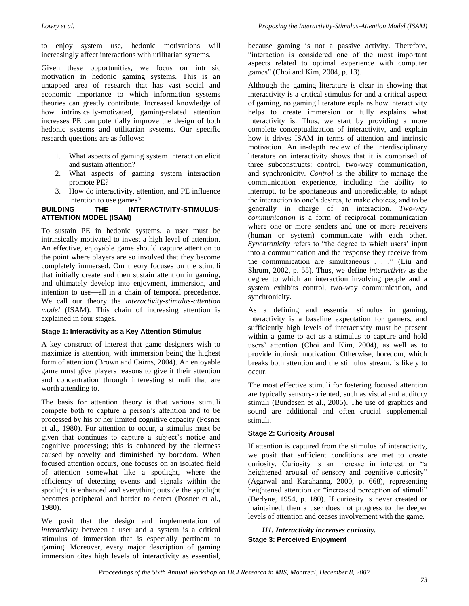to enjoy system use, hedonic motivations will increasingly affect interactions with utilitarian systems.

Given these opportunities, we focus on intrinsic motivation in hedonic gaming systems. This is an untapped area of research that has vast social and economic importance to which information systems theories can greatly contribute. Increased knowledge of how intrinsically-motivated, gaming-related attention increases PE can potentially improve the design of both hedonic systems and utilitarian systems. Our specific research questions are as follows:

- 1. What aspects of gaming system interaction elicit and sustain attention?
- 2. What aspects of gaming system interaction promote PE?
- 3. How do interactivity, attention, and PE influence intention to use games?

#### **BUILDING THE INTERACTIVITY-STIMULUS-ATTENTION MODEL (ISAM)**

To sustain PE in hedonic systems, a user must be intrinsically motivated to invest a high level of attention. An effective, enjoyable game should capture attention to the point where players are so involved that they become completely immersed. Our theory focuses on the stimuli that initially create and then sustain attention in gaming, and ultimately develop into enjoyment, immersion, and intention to use—all in a chain of temporal precedence. We call our theory the *interactivity-stimulus-attention model* (ISAM). This chain of increasing attention is explained in four stages.

#### **Stage 1: Interactivity as a Key Attention Stimulus**

A key construct of interest that game designers wish to maximize is attention, with immersion being the highest form of attention (Brown and Cairns, 2004). An enjoyable game must give players reasons to give it their attention and concentration through interesting stimuli that are worth attending to.

The basis for attention theory is that various stimuli compete both to capture a person's attention and to be processed by his or her limited cognitive capacity (Posner et al., 1980). For attention to occur, a stimulus must be given that continues to capture a subject's notice and cognitive processing; this is enhanced by the alertness caused by novelty and diminished by boredom. When focused attention occurs, one focuses on an isolated field of attention somewhat like a spotlight, where the efficiency of detecting events and signals within the spotlight is enhanced and everything outside the spotlight becomes peripheral and harder to detect (Posner et al., 1980).

We posit that the design and implementation of *interactivity* between a user and a system is a critical stimulus of immersion that is especially pertinent to gaming. Moreover, every major description of gaming immersion cites high levels of interactivity as essential, because gaming is not a passive activity. Therefore, "interaction is considered one of the most important aspects related to optimal experience with computer games" (Choi and Kim, 2004, p. 13).

Although the gaming literature is clear in showing that interactivity is a critical stimulus for and a critical aspect of gaming, no gaming literature explains how interactivity helps to create immersion or fully explains what interactivity is. Thus, we start by providing a more complete conceptualization of interactivity, and explain how it drives ISAM in terms of attention and intrinsic motivation. An in-depth review of the interdisciplinary literature on interactivity shows that it is comprised of three subconstructs: control, two-way communication, and synchronicity. *Control* is the ability to manage the communication experience, including the ability to interrupt, to be spontaneous and unpredictable, to adapt the interaction to one's desires, to make choices, and to be generally in charge of an interaction. *Two-way communication* is a form of reciprocal communication where one or more senders and one or more receivers (human or system) communicate with each other. *Synchronicity* refers to "the degree to which users' input into a communication and the response they receive from the communication are simultaneous . . ." (Liu and Shrum, 2002, p. 55). Thus, we define *interactivity* as the degree to which an interaction involving people and a system exhibits control, two-way communication, and synchronicity.

As a defining and essential stimulus in gaming, interactivity is a baseline expectation for gamers, and sufficiently high levels of interactivity must be present within a game to act as a stimulus to capture and hold users' attention (Choi and Kim, 2004), as well as to provide intrinsic motivation. Otherwise, boredom, which breaks both attention and the stimulus stream, is likely to occur.

The most effective stimuli for fostering focused attention are typically sensory-oriented, such as visual and auditory stimuli (Bundesen et al., 2005). The use of graphics and sound are additional and often crucial supplemental stimuli.

#### **Stage 2: Curiosity Arousal**

If attention is captured from the stimulus of interactivity, we posit that sufficient conditions are met to create curiosity. Curiosity is an increase in interest or "a heightened arousal of sensory and cognitive curiosity" (Agarwal and Karahanna, 2000, p. 668), representing heightened attention or "increased perception of stimuli" (Berlyne, 1954, p. 180). If curiosity is never created or maintained, then a user does not progress to the deeper levels of attention and ceases involvement with the game.

*H1. Interactivity increases curiosity.*  **Stage 3: Perceived Enjoyment**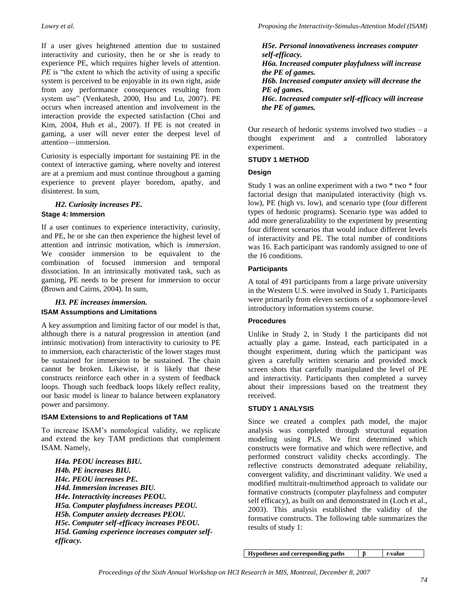If a user gives heightened attention due to sustained interactivity and curiosity, then he or she is ready to experience PE, which requires higher levels of attention. *PE* is "the extent to which the activity of using a specific system is perceived to be enjoyable in its own right, aside from any performance consequences resulting from system use" (Venkatesh, 2000, Hsu and Lu, 2007). PE occurs when increased attention and involvement in the interaction provide the expected satisfaction (Choi and Kim, 2004, Huh et al., 2007). If PE is not created in gaming, a user will never enter the deepest level of attention—immersion.

Curiosity is especially important for sustaining PE in the context of interactive gaming, where novelty and interest are at a premium and must continue throughout a gaming experience to prevent player boredom, apathy, and disinterest. In sum,

## *H2. Curiosity increases PE.*

#### **Stage 4: Immersion**

If a user continues to experience interactivity, curiosity, and PE, he or she can then experience the highest level of attention and intrinsic motivation, which is *immersion*. We consider immersion to be equivalent to the combination of focused immersion and temporal dissociation. In an intrinsically motivated task, such as gaming, PE needs to be present for immersion to occur (Brown and Cairns, 2004). In sum,

### *H3. PE increases immersion.*

#### **ISAM Assumptions and Limitations**

A key assumption and limiting factor of our model is that, although there is a natural progression in attention (and intrinsic motivation) from interactivity to curiosity to PE to immersion, each characteristic of the lower stages must be sustained for immersion to be sustained. The chain cannot be broken. Likewise, it is likely that these constructs reinforce each other in a system of feedback loops. Though such feedback loops likely reflect reality, our basic model is linear to balance between explanatory power and parsimony.

#### **ISAM Extensions to and Replications of TAM**

To increase ISAM's nomological validity, we replicate and extend the key TAM predictions that complement ISAM. Namely,

*H4a. PEOU increases BIU. H4b. PE increases BIU. H4c. PEOU increases PE. H4d. Immersion increases BIU. H4e. Interactivity increases PEOU. H5a. Computer playfulness increases PEOU. H5b. Computer anxiety decreases PEOU. H5c. Computer self-efficacy increases PEOU. H5d. Gaming experience increases computer selfefficacy.*

*H5e. Personal innovativeness increases computer self-efficacy. H6a. Increased computer playfulness will increase the PE of games. H6b. Increased computer anxiety will decrease the PE of games. H6c. Increased computer self-efficacy will increase the PE of games.*

Our research of hedonic systems involved two studies  $-$  a thought experiment and a controlled laboratory experiment.

#### **STUDY 1 METHOD**

#### **Design**

Study 1 was an online experiment with a two \* two \* four factorial design that manipulated interactivity (high vs. low), PE (high vs. low), and scenario type (four different types of hedonic programs). Scenario type was added to add more generalizability to the experiment by presenting four different scenarios that would induce different levels of interactivity and PE. The total number of conditions was 16. Each participant was randomly assigned to one of the 16 conditions.

#### **Participants**

A total of 491 participants from a large private university in the Western U.S. were involved in Study 1. Participants were primarily from eleven sections of a sophomore-level introductory information systems course.

#### **Procedures**

Unlike in Study 2, in Study 1 the participants did not actually play a game. Instead, each participated in a thought experiment, during which the participant was given a carefully written scenario and provided mock screen shots that carefully manipulated the level of PE and interactivity. Participants then completed a survey about their impressions based on the treatment they received.

#### **STUDY 1 ANALYSIS**

Since we created a complex path model, the major analysis was completed through structural equation modeling using PLS. We first determined which constructs were formative and which were reflective, and performed construct validity checks accordingly. The reflective constructs demonstrated adequate reliability, convergent validity, and discriminant validity. We used a modified multitrait-multimethod approach to validate our formative constructs (computer playfulness and computer self efficacy), as built on and demonstrated in (Loch et al., 2003). This analysis established the validity of the formative constructs. The following table summarizes the results of study 1:

**Hypotheses and corresponding paths β** *t***-value**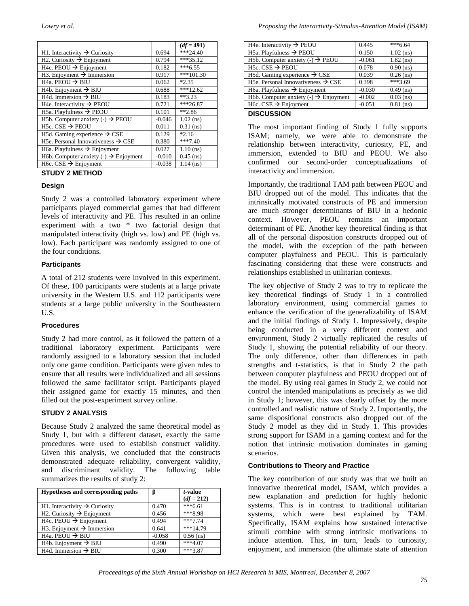|                                                                  |          | $(df = 491)$ |
|------------------------------------------------------------------|----------|--------------|
| H1. Interactivity $\rightarrow$ Curiosity                        | 0.694    | $***24.40$   |
| H2. Curiosity $\rightarrow$ Enjoyment                            | 0.794    | $***35.12$   |
| H4c. PEOU $\rightarrow$ Enjoyment                                | 0.182    | $***6.55$    |
| H3. Enjoyment $\rightarrow$ Immersion                            | 0.917    | $***101.30$  |
| H4a. PEOU $\rightarrow$ BIU                                      | 0.062    | $*2.35$      |
| H <sub>4</sub> b. Enjoyment $\rightarrow$ BIU                    | 0.688    | $***12.62$   |
| H4d. Immersion $\rightarrow$ BIU                                 | 0.183    | $**3.23$     |
| H <sub>4</sub> e. Interactivity $\rightarrow$ PEOU               | 0.721    | $**26.87$    |
| H5a. Playfulness $\rightarrow$ PEOU                              | 0.101    | $*2.86$      |
| H5b. Computer anxiety (-) $\rightarrow$ PEOU                     | $-0.046$ | $1.02$ (ns)  |
| H <sub>5c</sub> . CSE $\rightarrow$ PEOU                         | 0.011    | $0.31$ (ns)  |
| H5d. Gaming experience $\rightarrow$ CSE                         | 0.129    | $*2.16$      |
| H <sub>5</sub> e. Personal Innovativeness $\rightarrow$ CSE      | 0.380    | $***7.40$    |
| H6a. Playfulness $\rightarrow$ Enjoyment                         | 0.027    | $1.10$ (ns)  |
| H6b. Computer anxiety $\left(\cdot\right) \rightarrow$ Enjoyment | $-0.010$ | $0.45$ (ns)  |
| H6c. CSE $\rightarrow$ Enjoyment                                 | $-0.038$ | $1.14$ (ns)  |

#### **STUDY 2 METHOD**

#### **Design**

Study 2 was a controlled laboratory experiment where participants played commercial games that had different levels of interactivity and PE. This resulted in an online experiment with a two \* two factorial design that manipulated interactivity (high vs. low) and PE (high vs. low). Each participant was randomly assigned to one of the four conditions.

#### **Participants**

A total of 212 students were involved in this experiment. Of these, 100 participants were students at a large private university in the Western U.S. and 112 participants were students at a large public university in the Southeastern U.S.

#### **Procedures**

Study 2 had more control, as it followed the pattern of a traditional laboratory experiment. Participants were randomly assigned to a laboratory session that included only one game condition. Participants were given rules to ensure that all results were individualized and all sessions followed the same facilitator script. Participants played their assigned game for exactly 15 minutes, and then filled out the post-experiment survey online.

#### **STUDY 2 ANALYSIS**

Because Study 2 analyzed the same theoretical model as Study 1, but with a different dataset, exactly the same procedures were used to establish construct validity. Given this analysis, we concluded that the constructs demonstrated adequate reliability, convergent validity, and discriminant validity. The following table summarizes the results of study 2:

| Hypotheses and corresponding paths                     | β        | t-value<br>$(df = 212)$ |
|--------------------------------------------------------|----------|-------------------------|
| H <sub>1</sub> . Interactivity $\rightarrow$ Curiosity | 0.470    | $***6.61$               |
| H2. Curiosity $\rightarrow$ Enjoyment                  | 0.456    | $***8.98$               |
| $H4c.$ PEOU $\rightarrow$ Enjoyment                    | 0.494    | $***7.74$               |
| H3. Enjoyment $\rightarrow$ Immersion                  | 0.641    | $***14.79$              |
| H <sub>4a</sub> . PEOU $\rightarrow$ BIU               | $-0.058$ | $0.56$ (ns)             |
| H <sub>4</sub> b. Enjoyment $\rightarrow$ BIU          | 0.490    | $***4.07$               |
| H4d. Immersion $\rightarrow$ BIU                       | 0.300    | ***3.87                 |

| H4e. Interactivity $\rightarrow$ PEOU                            | 0.445    | $***6.64$   |
|------------------------------------------------------------------|----------|-------------|
| H5a. Playfulness $\rightarrow$ PEOU                              | 0.150    | $1.02$ (ns) |
| H5b. Computer anxiety $\left(\text{-}\right) \rightarrow$ PEOU   | $-0.061$ | $1.82$ (ns) |
| H <sub>5c</sub> . CSE $\rightarrow$ PEOU                         | 0.078    | $0.90$ (ns) |
| H5d. Gaming experience $\rightarrow$ CSE                         | 0.039    | $0.26$ (ns) |
| H <sub>5</sub> e. Personal Innovativeness $\rightarrow$ CSE      | 0.398    | $***3.69$   |
| H6a. Playfulness $\rightarrow$ Enjoyment                         | $-0.030$ | $0.49$ (ns) |
| H6b. Computer anxiety $\left(\cdot\right) \rightarrow$ Enjoyment | $-0.002$ | $0.03$ (ns) |
| $H6c$ . CSE $\rightarrow$ Enjoyment                              | $-0.051$ | $0.81$ (ns) |
| - - - - - - - - - - - -                                          |          |             |

#### **DISCUSSION**

The most important finding of Study 1 fully supports ISAM; namely, we were able to demonstrate the relationship between interactivity, curiosity, PE, and immersion, extended to BIU and PEOU. We also confirmed our second-order conceptualizations of interactivity and immersion.

Importantly, the traditional TAM path between PEOU and BIU dropped out of the model. This indicates that the intrinsically motivated constructs of PE and immersion are much stronger determinants of BIU in a hedonic context. However, PEOU remains an important determinant of PE. Another key theoretical finding is that all of the personal disposition constructs dropped out of the model, with the exception of the path between computer playfulness and PEOU. This is particularly fascinating considering that these were constructs and relationships established in utilitarian contexts.

The key objective of Study 2 was to try to replicate the key theoretical findings of Study 1 in a controlled laboratory environment, using commercial games to enhance the verification of the generalizability of ISAM and the initial findings of Study 1. Impressively, despite being conducted in a very different context and environment, Study 2 virtually replicated the results of Study 1, showing the potential reliability of our theory. The only difference, other than differences in path strengths and t-statistics, is that in Study 2 the path between computer playfulness and PEOU dropped out of the model. By using real games in Study 2, we could not control the intended manipulations as precisely as we did in Study 1; however, this was clearly offset by the more controlled and realistic nature of Study 2. Importantly, the same dispositional constructs also dropped out of the Study 2 model as they did in Study 1. This provides strong support for ISAM in a gaming context and for the notion that intrinsic motivation dominates in gaming scenarios.

#### **Contributions to Theory and Practice**

The key contribution of our study was that we built an innovative theoretical model, ISAM, which provides a new explanation and prediction for highly hedonic systems. This is in contrast to traditional utilitarian systems, which were best explained by TAM. Specifically, ISAM explains how sustained interactive stimuli combine with strong intrinsic motivations to induce attention. This, in turn, leads to curiosity, enjoyment, and immersion (the ultimate state of attention